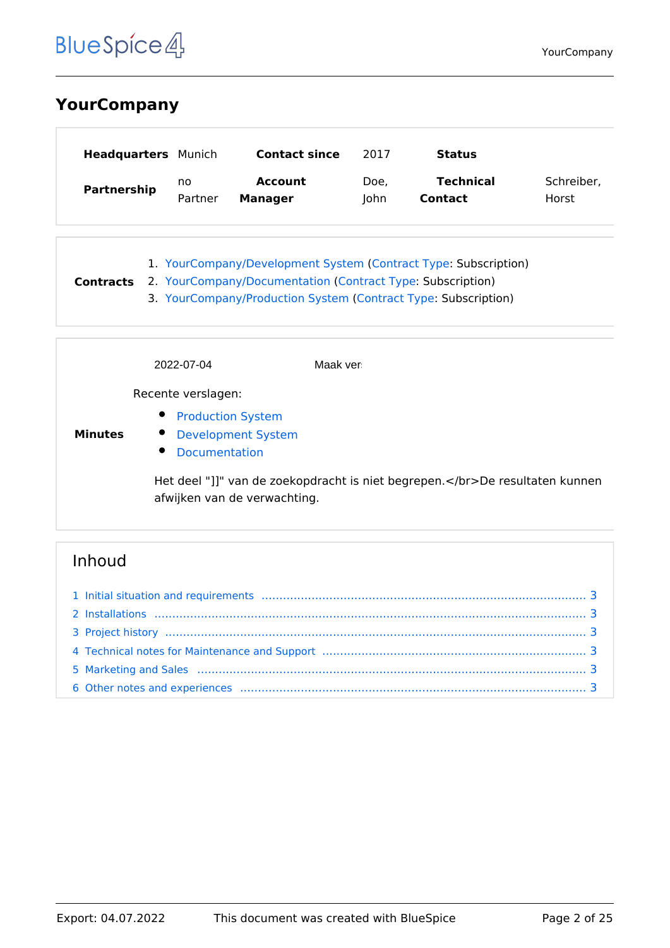## <span id="page-1-0"></span>**YourCompany**

| <b>Headquarters</b> Munich |         | <b>Contact since</b> | 2017 | <b>Status</b>    |            |
|----------------------------|---------|----------------------|------|------------------|------------|
| Partnership                | no      | <b>Account</b>       | Doe, | <b>Technical</b> | Schreiber, |
|                            | Partner | <b>Manager</b>       | lohn | <b>Contact</b>   | Horst      |

1. [YourCompany/Development System](#page-3-0) ([Contract Type](https://nl.demo.bluespice.com/wiki/Eigenschap:Contract_Type): Subscription) **Contracts** 2. [YourCompany/Documentation](#page-7-0) ([Contract Type:](https://nl.demo.bluespice.com/wiki/Eigenschap:Contract_Type) Subscription) 3. [YourCompany/Production System](#page-21-0) [\(Contract Type](https://nl.demo.bluespice.com/wiki/Eigenschap:Contract_Type): Subscription)

|                | 2022-07-04                                                                                                    | Maak ver                                                                |
|----------------|---------------------------------------------------------------------------------------------------------------|-------------------------------------------------------------------------|
|                | Recente verslagen:                                                                                            |                                                                         |
| <b>Minutes</b> | $\bullet$<br><b>Production System</b><br><b>Development System</b><br>$\bullet$<br>$\bullet$<br>Documentation |                                                                         |
|                | afwijken van de verwachting.                                                                                  | Het deel "]]" van de zoekopdracht is niet begrepen.De resultaten kunnen |

| 4 Technical notes for Maintenance and Support manufactured manufactured and Support manufactured and Support manufactured manufactured and Support manufactured and Support manufactured and Support manufactured and Support |  |
|-------------------------------------------------------------------------------------------------------------------------------------------------------------------------------------------------------------------------------|--|
|                                                                                                                                                                                                                               |  |
|                                                                                                                                                                                                                               |  |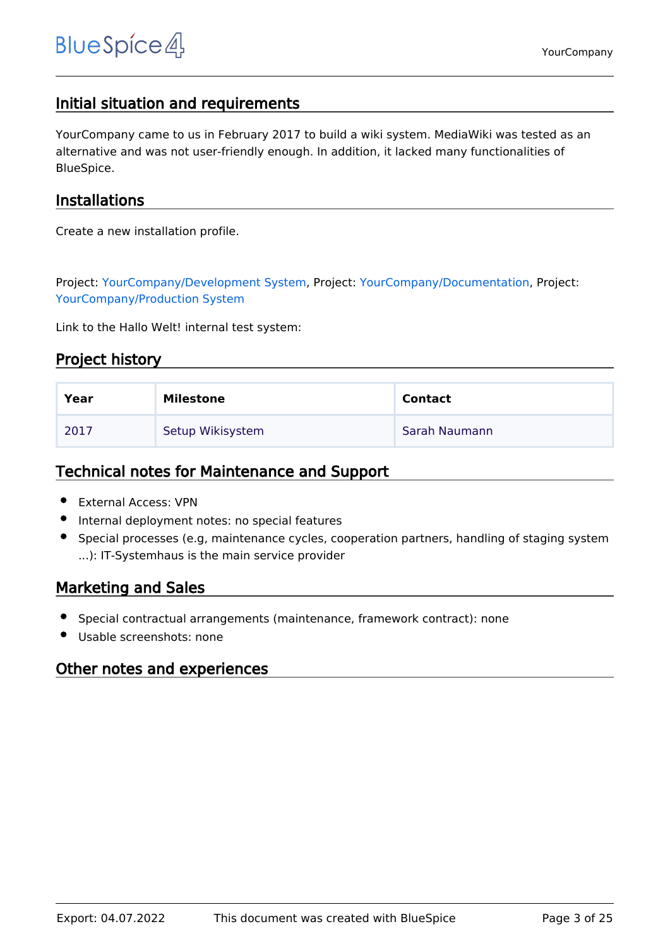## <span id="page-2-0"></span>Initial situation and requirements

YourCompany came to us in February 2017 to build a wiki system. MediaWiki was tested as an alternative and was not user-friendly enough. In addition, it lacked many functionalities of BlueSpice.

### <span id="page-2-1"></span>Installations

Create a new installation profile.

Project: [YourCompany/Development System](#page-3-0), Project: [YourCompany/Documentation,](#page-7-0) Project: [YourCompany/Production System](#page-21-0)

Link to the Hallo Welt! internal test system:

### <span id="page-2-2"></span>Project history

| Year | Milestone        | <b>Contact</b> |
|------|------------------|----------------|
| 2017 | Setup Wikisystem | Sarah Naumann  |

### <span id="page-2-3"></span>Technical notes for Maintenance and Support

- External Access: VPN
- Internal deployment notes: no special features
- Special processes (e.g, maintenance cycles, cooperation partners, handling of staging system ...): IT-Systemhaus is the main service provider

## <span id="page-2-4"></span>Marketing and Sales

- Special contractual arrangements (maintenance, framework contract): none
- Usable screenshots: none

### <span id="page-2-5"></span>Other notes and experiences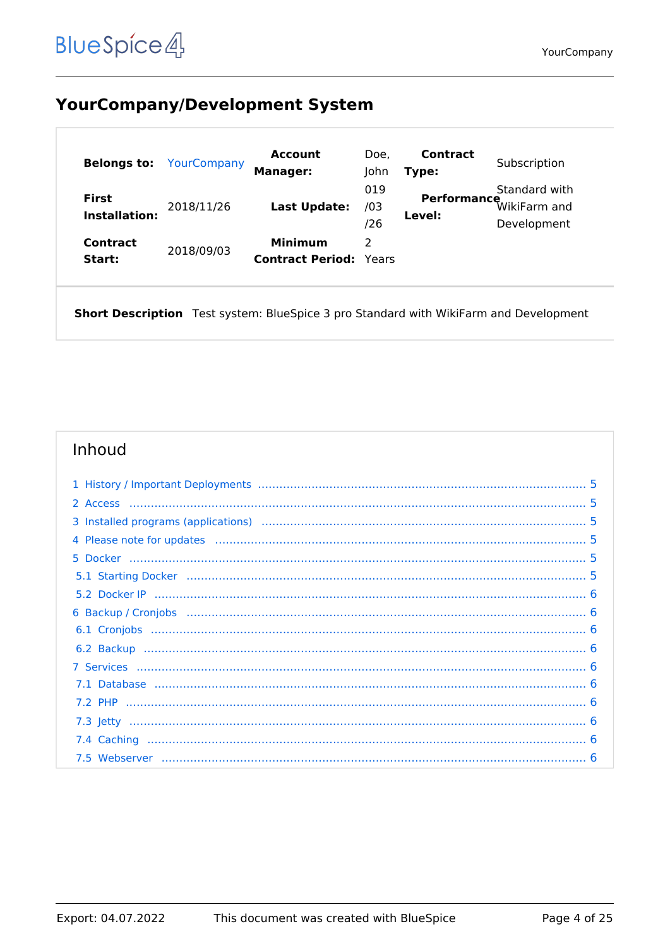## <span id="page-3-0"></span>**YourCompany/Development System**

| <b>Belongs to:</b>                   | YourCompany | Account<br><b>Manager:</b>                      | Doe,<br>John      | <b>Contract</b><br>Type: | Subscription                                 |
|--------------------------------------|-------------|-------------------------------------------------|-------------------|--------------------------|----------------------------------------------|
| <b>First</b><br><b>Installation:</b> | 2018/11/26  | Last Update:                                    | 019<br>/03<br>/26 | Performance<br>Level:    | Standard with<br>WikiFarm and<br>Development |
| Contract<br>Start:                   | 2018/09/03  | <b>Minimum</b><br><b>Contract Period: Years</b> | 2                 |                          |                                              |

Short Description Test system: BlueSpice 3 pro Standard with WikiFarm and Development

| 3 Installed programs (applications) manufactured contain manufactured programs (applications) manufactured by  |  |
|----------------------------------------------------------------------------------------------------------------|--|
| 4 Please note for updates (and all continuum continuum control of the control of the state of the state of the |  |
|                                                                                                                |  |
|                                                                                                                |  |
|                                                                                                                |  |
|                                                                                                                |  |
|                                                                                                                |  |
|                                                                                                                |  |
|                                                                                                                |  |
|                                                                                                                |  |
|                                                                                                                |  |
|                                                                                                                |  |
|                                                                                                                |  |
|                                                                                                                |  |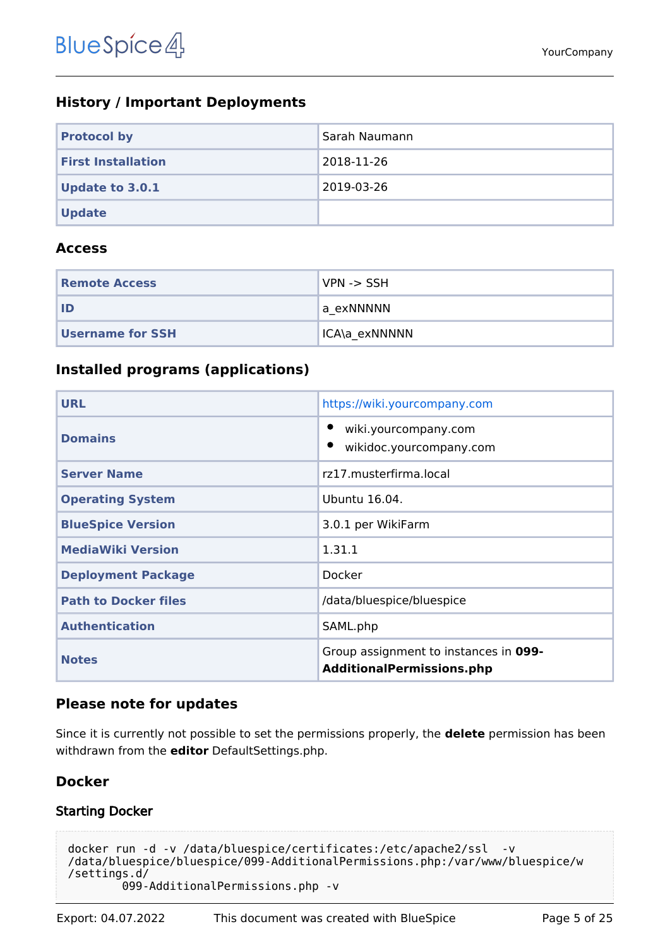## <span id="page-4-0"></span>**History / Important Deployments**

| <b>Protocol by</b>        | Sarah Naumann |
|---------------------------|---------------|
| <b>First Installation</b> | 2018-11-26    |
| <b>Update to 3.0.1</b>    | 2019-03-26    |
| <b>Update</b>             |               |

#### <span id="page-4-1"></span>**Access**

| <b>Remote Access</b>    | $VPN \rightarrow SSH$ |
|-------------------------|-----------------------|
| ID                      | a exNNNNN             |
| <b>Username for SSH</b> | ICA\a exNNNNN         |

## <span id="page-4-2"></span>**Installed programs (applications)**

| <b>URL</b>                  | https://wiki.yourcompany.com                                              |
|-----------------------------|---------------------------------------------------------------------------|
| <b>Domains</b>              | wiki.yourcompany.com<br>wikidoc.yourcompany.com                           |
| <b>Server Name</b>          | rz17.musterfirma.local                                                    |
| <b>Operating System</b>     | Ubuntu 16.04.                                                             |
| <b>BlueSpice Version</b>    | 3.0.1 per WikiFarm                                                        |
| <b>MediaWiki Version</b>    | 1.31.1                                                                    |
| <b>Deployment Package</b>   | Docker                                                                    |
| <b>Path to Docker files</b> | /data/bluespice/bluespice                                                 |
| <b>Authentication</b>       | SAML.php                                                                  |
| <b>Notes</b>                | Group assignment to instances in 099-<br><b>AdditionalPermissions.php</b> |

### <span id="page-4-3"></span>**Please note for updates**

Since it is currently not possible to set the permissions properly, the **delete** permission has been withdrawn from the **editor** DefaultSettings.php.

## <span id="page-4-4"></span>**Docker**

### <span id="page-4-5"></span>Starting Docker

```
docker run -d -v /data/bluespice/certificates:/etc/apache2/ssl -v 
/data/bluespice/bluespice/099-AdditionalPermissions.php:/var/www/bluespice/w
/settings.d/
         099-AdditionalPermissions.php -v
```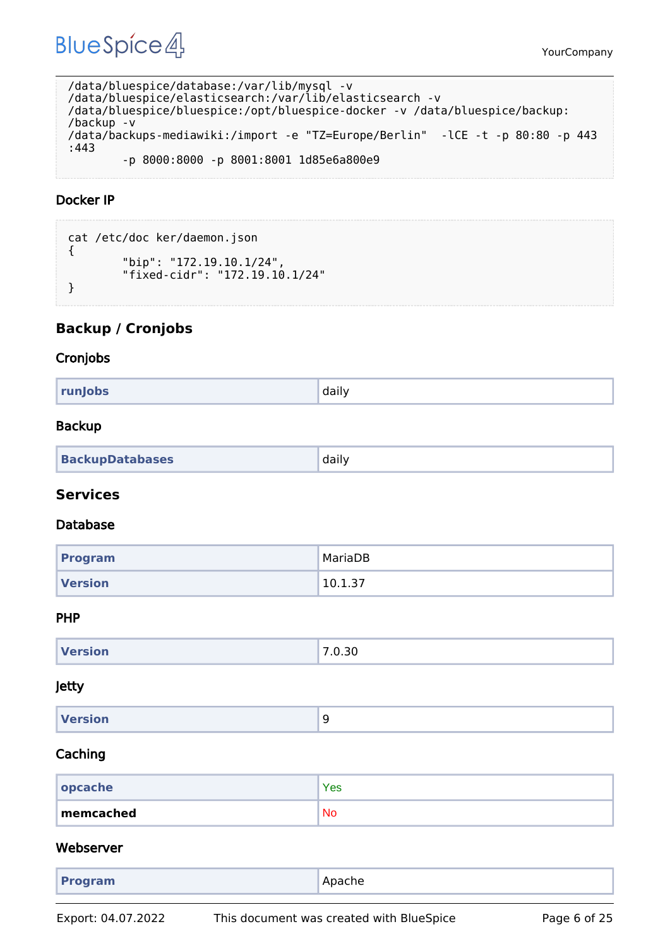YourCompany

```
/data/bluespice/database:/var/lib/mysql -v 
/data/bluespice/elasticsearch:/var/lib/elasticsearch -v 
/data/bluespice/bluespice:/opt/bluespice-docker -v /data/bluespice/backup:
/backup -v 
/data/backups-mediawiki:/import -e "TZ=Europe/Berlin" -lCE -t -p 80:80 -p 443
:443 
         -p 8000:8000 -p 8001:8001 1d85e6a800e9
```
#### <span id="page-5-0"></span>Docker IP

```
cat /etc/doc ker/daemon.json
{
         "bip": "172.19.10.1/24",
         "fixed-cidr": "172.19.10.1/24"
}
```
### <span id="page-5-1"></span>**Backup / Cronjobs**

#### <span id="page-5-2"></span>Cronjobs

| daily<br>runJobs |  |
|------------------|--|
|------------------|--|

#### <span id="page-5-3"></span>Backup

| <b>BackupDatabases</b> | daily |
|------------------------|-------|
|------------------------|-------|

#### <span id="page-5-4"></span>**Services**

#### <span id="page-5-5"></span>Database

| Program        | MariaDB |
|----------------|---------|
| <b>Version</b> | 10.1.37 |

#### <span id="page-5-6"></span>PHP

| <b>Version</b> | 7.0.30 |
|----------------|--------|
|                |        |

#### <span id="page-5-7"></span>Jetty

| Version<br>۔<br>$\sim$ |
|------------------------|
|------------------------|

#### <span id="page-5-8"></span>Caching

| $ $ opcache | Yes       |
|-------------|-----------|
| memcached   | <b>No</b> |

#### <span id="page-5-9"></span>Webserver

| Apache<br><b>Program</b> |
|--------------------------|
|--------------------------|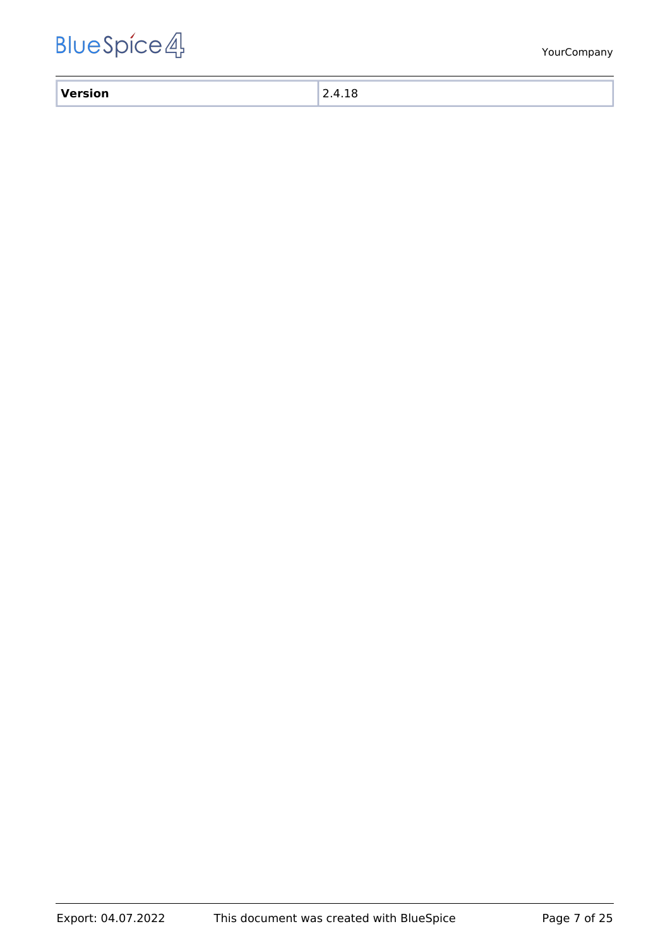| $\mathbf{v}$ |  |
|--------------|--|
| ___          |  |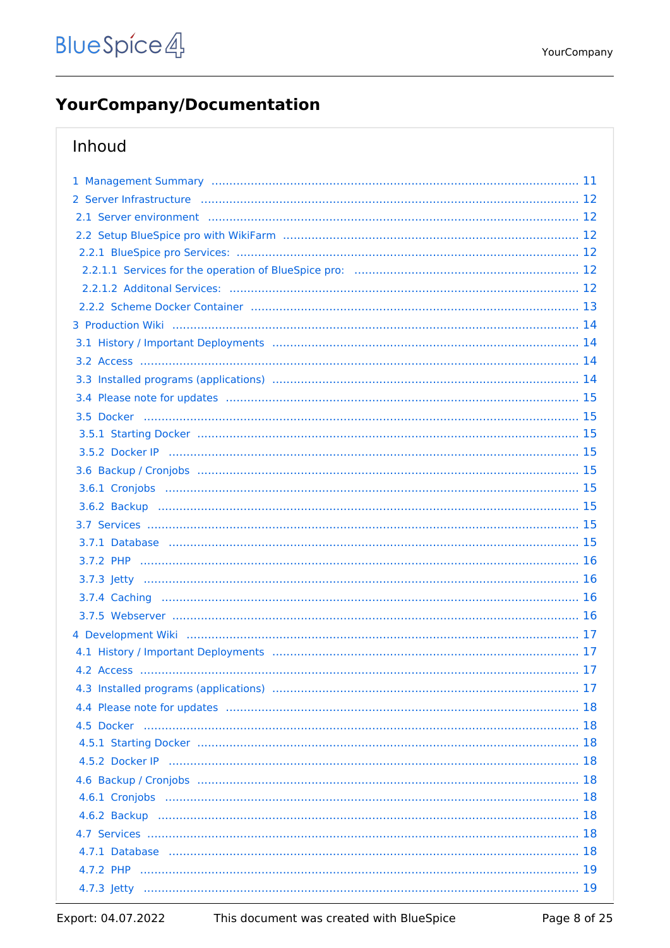## <span id="page-7-0"></span>**YourCompany/Documentation**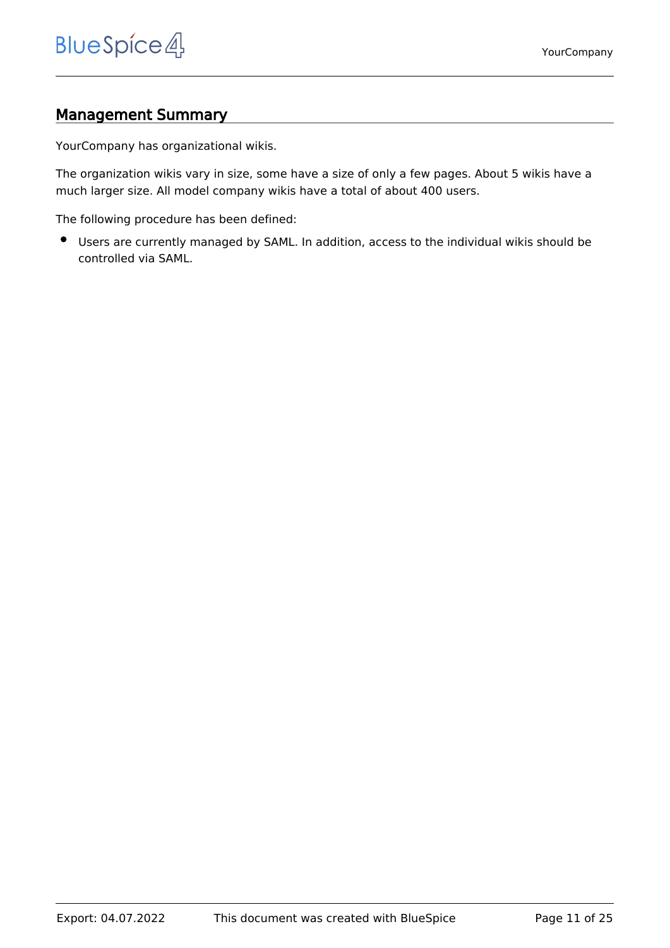## <span id="page-10-0"></span>Management Summary

YourCompany has organizational wikis.

The organization wikis vary in size, some have a size of only a few pages. About 5 wikis have a much larger size. All model company wikis have a total of about 400 users.

The following procedure has been defined:

Users are currently managed by SAML. In addition, access to the individual wikis should be controlled via SAML.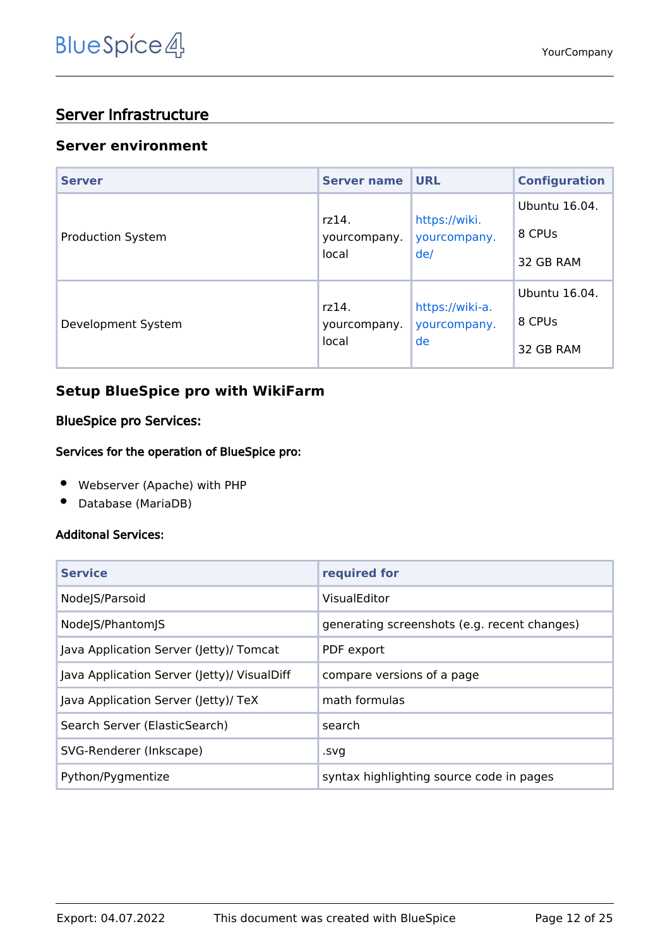## <span id="page-11-0"></span>Server Infrastructure

#### <span id="page-11-1"></span>**Server environment**

| <b>Server</b>            | <b>Server name</b>             | <b>URL</b>                            | <b>Configuration</b> |
|--------------------------|--------------------------------|---------------------------------------|----------------------|
| <b>Production System</b> | rz14.<br>yourcompany.<br>local | https://wiki.<br>yourcompany.<br>de/  | Ubuntu 16.04.        |
|                          |                                |                                       | 8 CPUs               |
|                          |                                |                                       | 32 GB RAM            |
| Development System       | rz14.<br>yourcompany.<br>local | https://wiki-a.<br>yourcompany.<br>de | Ubuntu 16.04.        |
|                          |                                |                                       | 8 CPUs               |
|                          |                                |                                       | 32 GB RAM            |

## <span id="page-11-2"></span>**Setup BlueSpice pro with WikiFarm**

#### <span id="page-11-3"></span>BlueSpice pro Services:

#### <span id="page-11-4"></span>Services for the operation of BlueSpice pro:

- Webserver (Apache) with PHP
- Database (MariaDB)  $\bullet$

#### <span id="page-11-5"></span>Additonal Services:

| <b>Service</b>                              | required for                                 |
|---------------------------------------------|----------------------------------------------|
| Node S/Parsoid                              | VisualEditor                                 |
| NodeJS/PhantomJS                            | generating screenshots (e.g. recent changes) |
| Java Application Server (Jetty)/ Tomcat     | PDF export                                   |
| Java Application Server (Jetty)/ VisualDiff | compare versions of a page                   |
| Java Application Server (Jetty)/ TeX        | math formulas                                |
| Search Server (ElasticSearch)               | search                                       |
| SVG-Renderer (Inkscape)                     | .svg                                         |
| Python/Pygmentize                           | syntax highlighting source code in pages     |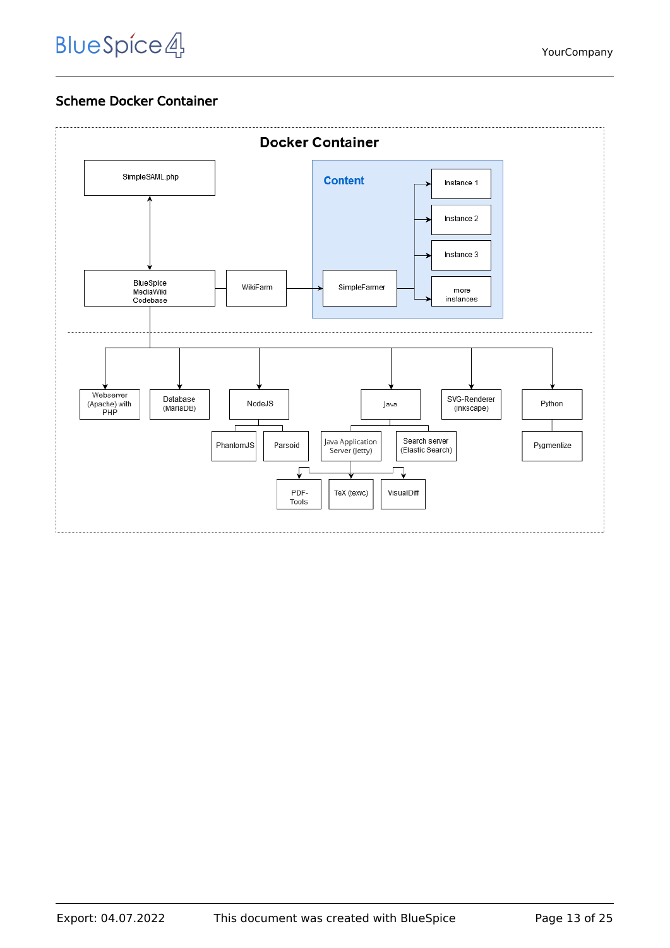## Scheme Docker Container

<span id="page-12-0"></span>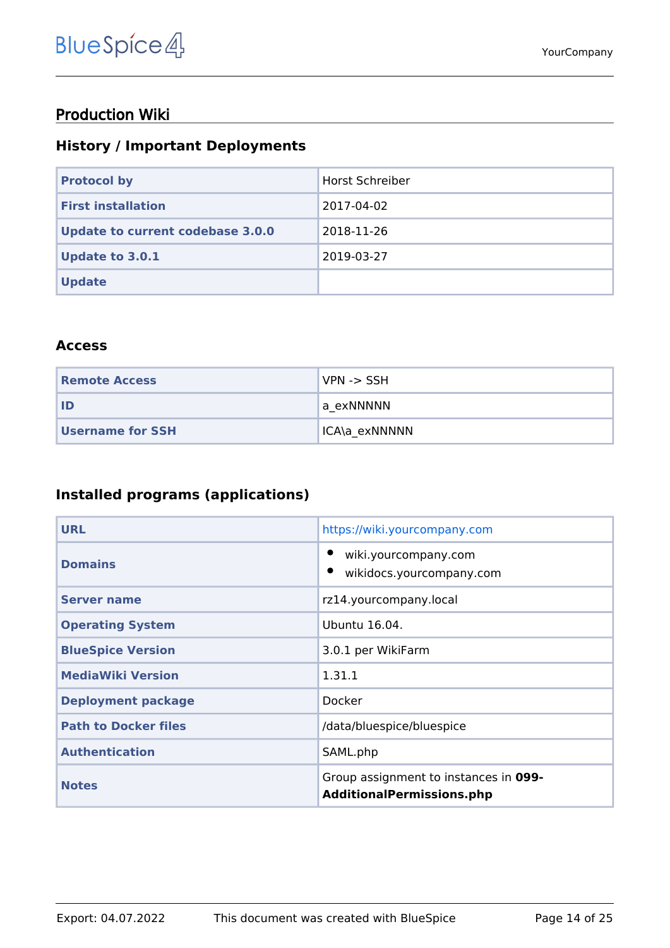## <span id="page-13-0"></span>Production Wiki

## <span id="page-13-1"></span>**History / Important Deployments**

| <b>Protocol by</b>               | Horst Schreiber |
|----------------------------------|-----------------|
| <b>First installation</b>        | 2017-04-02      |
| Update to current codebase 3.0.0 | 2018-11-26      |
| <b>Update to 3.0.1</b>           | 2019-03-27      |
| <b>Update</b>                    |                 |

#### <span id="page-13-2"></span>**Access**

| <b>Remote Access</b> | VPN -> SSH    |
|----------------------|---------------|
| l ID                 | la exNNNNN    |
| Username for SSH     | ICA\a exNNNNN |

## <span id="page-13-3"></span>**Installed programs (applications)**

| <b>URL</b>                  | https://wiki.yourcompany.com                                              |
|-----------------------------|---------------------------------------------------------------------------|
| <b>Domains</b>              | wiki.yourcompany.com<br>wikidocs.yourcompany.com                          |
| <b>Server name</b>          | rz14.yourcompany.local                                                    |
| <b>Operating System</b>     | Ubuntu 16.04.                                                             |
| <b>BlueSpice Version</b>    | 3.0.1 per WikiFarm                                                        |
| <b>MediaWiki Version</b>    | 1.31.1                                                                    |
| <b>Deployment package</b>   | Docker                                                                    |
| <b>Path to Docker files</b> | /data/bluespice/bluespice                                                 |
| <b>Authentication</b>       | SAML.php                                                                  |
| <b>Notes</b>                | Group assignment to instances in 099-<br><b>AdditionalPermissions.php</b> |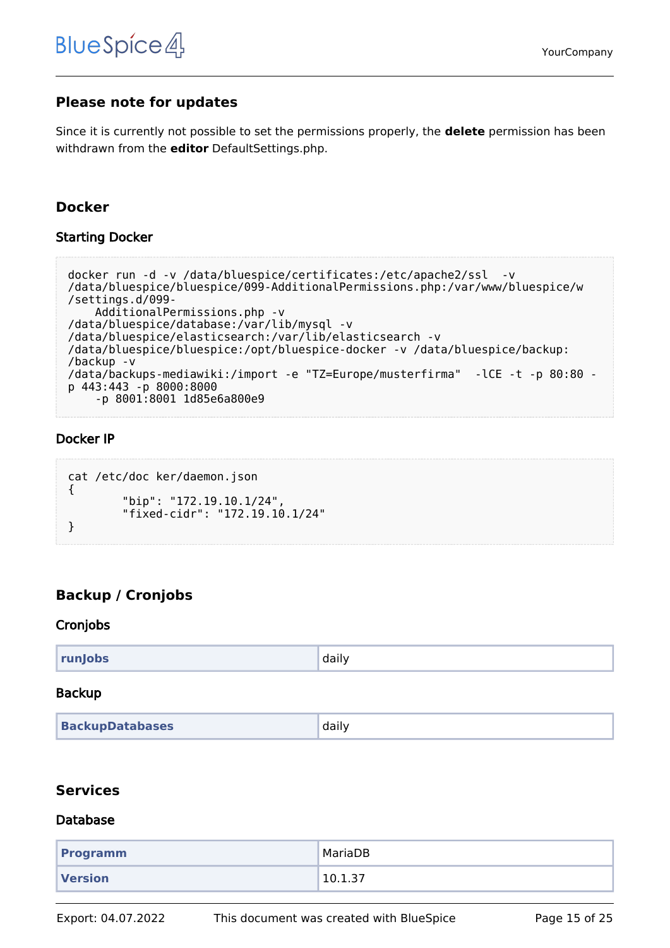### <span id="page-14-0"></span>**Please note for updates**

Since it is currently not possible to set the permissions properly, the **delete** permission has been withdrawn from the **editor** DefaultSettings.php.

#### <span id="page-14-1"></span>**Docker**

#### <span id="page-14-2"></span>Starting Docker

```
docker run -d -v /data/bluespice/certificates:/etc/apache2/ssl -v 
/data/bluespice/bluespice/099-AdditionalPermissions.php:/var/www/bluespice/w
/settings.d/099-
     AdditionalPermissions.php -v 
/data/bluespice/database:/var/lib/mysql -v 
/data/bluespice/elasticsearch:/var/lib/elasticsearch -v 
/data/bluespice/bluespice:/opt/bluespice-docker -v /data/bluespice/backup:
/backup -v 
/data/backups-mediawiki:/import -e "TZ=Europe/musterfirma" -lCE -t -p 80:80 -
p 443:443 -p 8000:8000 
     -p 8001:8001 1d85e6a800e9
```
#### <span id="page-14-3"></span>Docker IP

```
cat /etc/doc ker/daemon.json
{
         "bip": "172.19.10.1/24",
         "fixed-cidr": "172.19.10.1/24"
}
```
## <span id="page-14-4"></span>**Backup / Cronjobs**

#### <span id="page-14-5"></span>Cronjobs

| runJobs | daily |
|---------|-------|
|---------|-------|

#### <span id="page-14-6"></span>Backup

| <b>BackupDatabases</b> | daily |
|------------------------|-------|
|------------------------|-------|

#### <span id="page-14-7"></span>**Services**

#### <span id="page-14-8"></span>Database

| Programm       | MariaDB |
|----------------|---------|
| <b>Version</b> | 10.1.37 |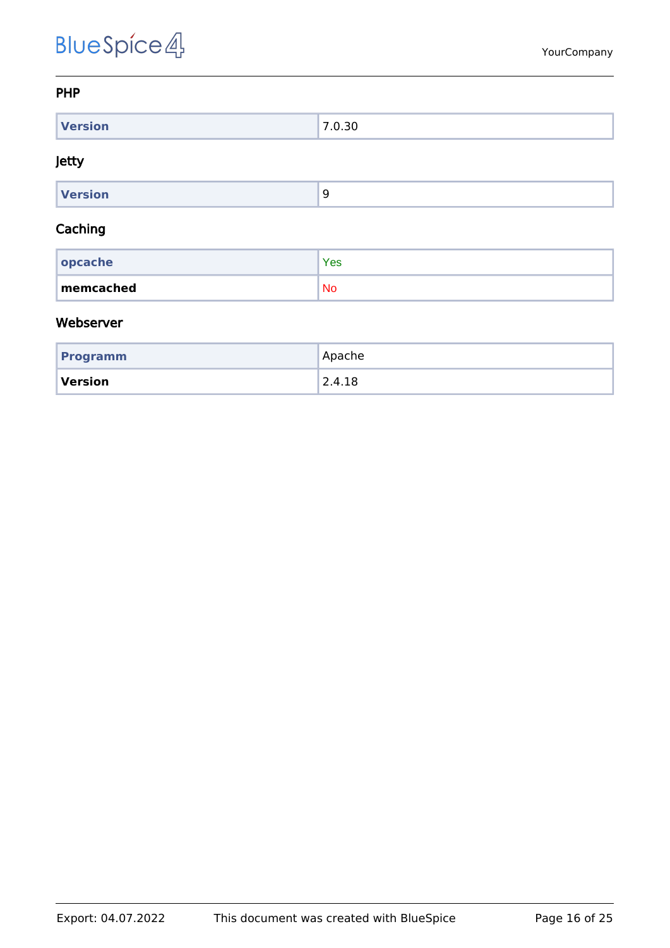#### <span id="page-15-0"></span>PHP

| <b><i>Children</i> Contract Contract</b><br>$-1301$ | - |
|-----------------------------------------------------|---|

#### <span id="page-15-1"></span>Jetty

| Version |  |
|---------|--|

#### <span id="page-15-2"></span>Caching

| $ $ opcache | <b>Yes</b> |
|-------------|------------|
| memcached   | <b>No</b>  |

#### <span id="page-15-3"></span>Webserver

| <b>Programm</b> | Apache                 |
|-----------------|------------------------|
| Version         | $^{\backprime}$ 2.4.18 |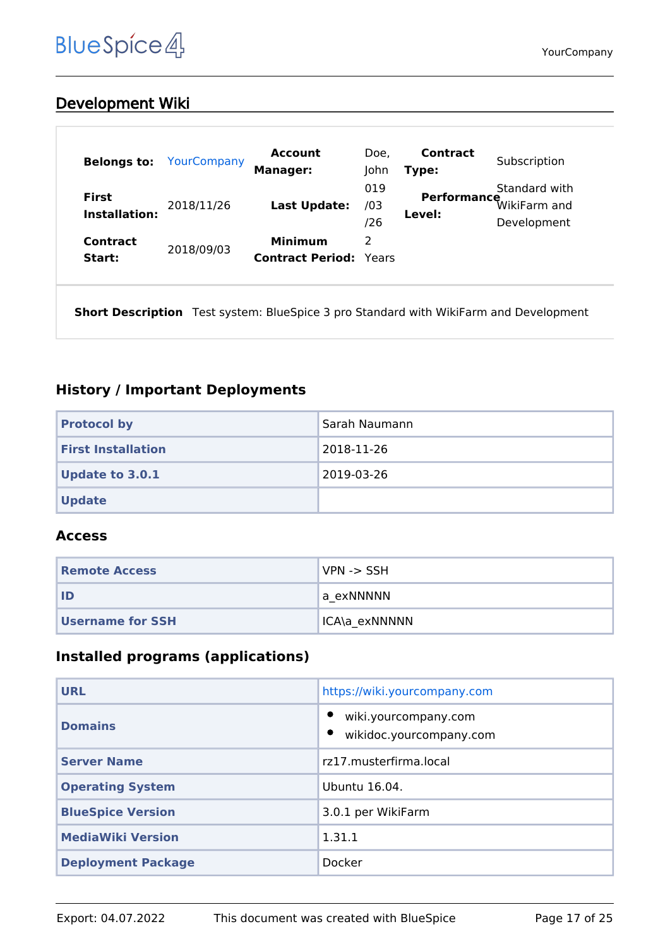## <span id="page-16-0"></span>Development Wiki

| <b>Belongs to:</b>                   | YourCompany | <b>Account</b><br><b>Manager:</b>               | Doe,<br>John      | Contract<br>Type:     | Subscription                                 |
|--------------------------------------|-------------|-------------------------------------------------|-------------------|-----------------------|----------------------------------------------|
| <b>First</b><br><b>Installation:</b> | 2018/11/26  | Last Update:                                    | 019<br>/03<br>/26 | Performance<br>Level: | Standard with<br>WikiFarm and<br>Development |
| Contract<br>Start:                   | 2018/09/03  | <b>Minimum</b><br><b>Contract Period: Years</b> | 2                 |                       |                                              |

**Short Description** Test system: BlueSpice 3 pro Standard with WikiFarm and Development

### <span id="page-16-1"></span>**History / Important Deployments**

| <b>Protocol by</b>        | Sarah Naumann |
|---------------------------|---------------|
| <b>First Installation</b> | 2018-11-26    |
| <b>Update to 3.0.1</b>    | 2019-03-26    |
| <b>Update</b>             |               |

#### <span id="page-16-2"></span>**Access**

| <b>Remote Access</b>    | $NPN \rightarrow SSH$ |
|-------------------------|-----------------------|
| ID                      | a exNNNNN             |
| <b>Username for SSH</b> | 'ICA\a exNNNNN        |

## <span id="page-16-3"></span>**Installed programs (applications)**

| <b>URL</b>                | https://wiki.yourcompany.com                    |
|---------------------------|-------------------------------------------------|
| <b>Domains</b>            | wiki.yourcompany.com<br>wikidoc.yourcompany.com |
| <b>Server Name</b>        | rz17.musterfirma.local                          |
| <b>Operating System</b>   | Ubuntu 16.04.                                   |
| <b>BlueSpice Version</b>  | 3.0.1 per WikiFarm                              |
| <b>MediaWiki Version</b>  | 1.31.1                                          |
| <b>Deployment Package</b> | Docker                                          |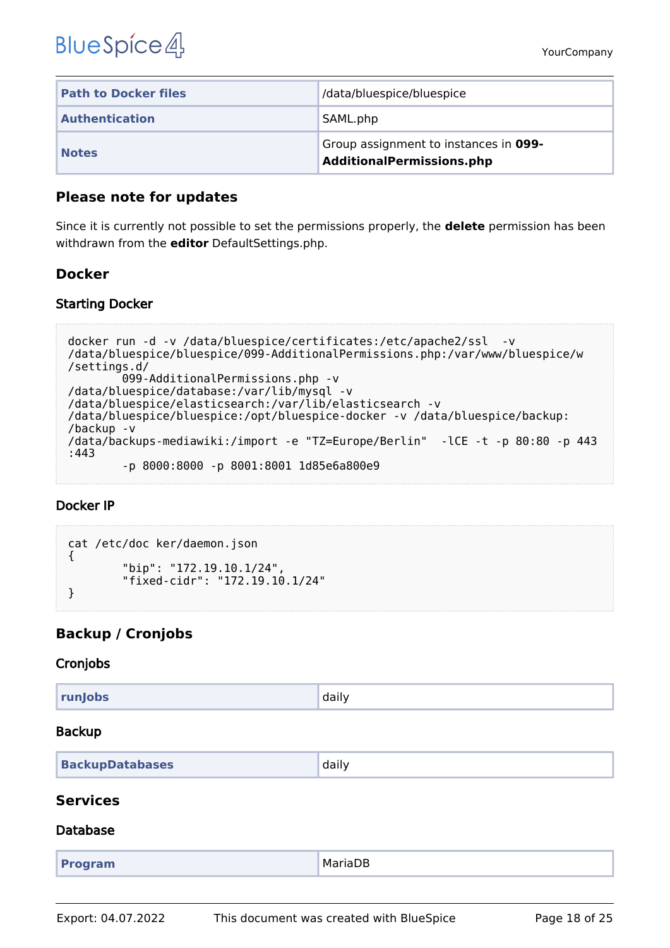| <b>Path to Docker files</b> | /data/bluespice/bluespice                                          |
|-----------------------------|--------------------------------------------------------------------|
| <b>Authentication</b>       | SAML.php                                                           |
| <b>Notes</b>                | Group assignment to instances in 099-<br>AdditionalPermissions.php |

#### <span id="page-17-0"></span>**Please note for updates**

Since it is currently not possible to set the permissions properly, the **delete** permission has been withdrawn from the **editor** DefaultSettings.php.

### <span id="page-17-1"></span>**Docker**

#### <span id="page-17-2"></span>Starting Docker

```
docker run -d -v /data/bluespice/certificates:/etc/apache2/ssl -v 
/data/bluespice/bluespice/099-AdditionalPermissions.php:/var/www/bluespice/w
/settings.d/
         099-AdditionalPermissions.php -v 
/data/bluespice/database:/var/lib/mysql -v 
/data/bluespice/elasticsearch:/var/lib/elasticsearch -v 
/data/bluespice/bluespice:/opt/bluespice-docker -v /data/bluespice/backup:
/backup -v 
/data/backups-mediawiki:/import -e "TZ=Europe/Berlin" -lCE -t -p 80:80 -p 443
:443 
         -p 8000:8000 -p 8001:8001 1d85e6a800e9
```
#### <span id="page-17-3"></span>Docker IP

```
cat /etc/doc ker/daemon.json
{
         "bip": "172.19.10.1/24",
         "fixed-cidr": "172.19.10.1/24"
}
```
## <span id="page-17-4"></span>**Backup / Cronjobs**

#### <span id="page-17-5"></span>Cronjobs

| runJobs | daily |
|---------|-------|
|         |       |

#### <span id="page-17-6"></span>Backup

| <b>BackupDatabases</b> | daily |
|------------------------|-------|
|                        |       |

#### <span id="page-17-7"></span>**Services**

#### <span id="page-17-8"></span>Database

| MariaDB<br><b>Program</b> |
|---------------------------|
|---------------------------|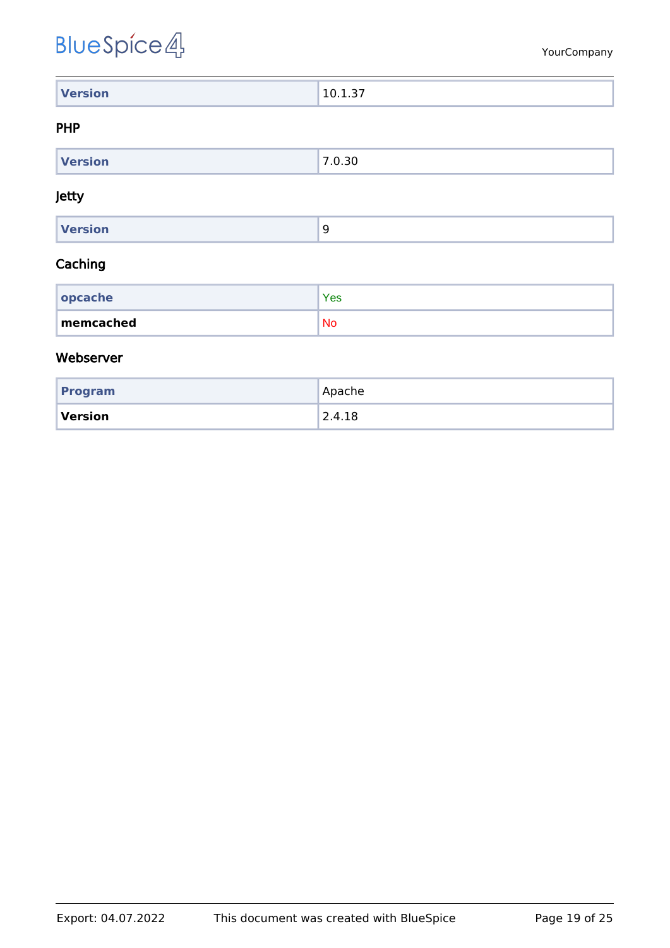| <b>Version</b> | .<br>$10^{-1}$<br>. |
|----------------|---------------------|

#### <span id="page-18-0"></span>PHP

| $M = \frac{1}{2}$<br>rsion | ۔<br>. J U |
|----------------------------|------------|
|                            |            |

#### <span id="page-18-1"></span>Jetty

| Version |  |
|---------|--|
|         |  |

#### <span id="page-18-2"></span>Caching

| $ $ opcache | Yes       |
|-------------|-----------|
| memcached   | <b>No</b> |

#### <span id="page-18-3"></span>Webserver

| Program | Apache |
|---------|--------|
| Version | 2.4.18 |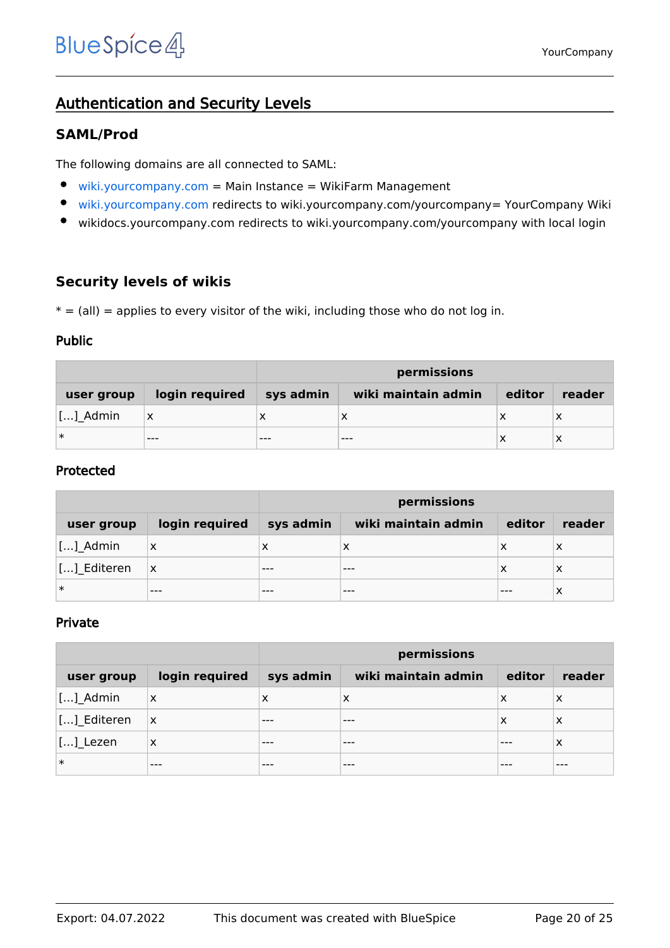## <span id="page-19-0"></span>Authentication and Security Levels

### <span id="page-19-1"></span>**SAML/Prod**

The following domains are all connected to SAML:

- $\bullet$ [wiki.yourcompany.com](https://wiki.yourcompany.com/w/index.php/Special:SimpleFarmer) = Main Instance = WikiFarm Management
- $\bullet$ [wiki.yourcompany.com](https://wiki.yourcompany.com/yourcompany) redirects to wiki.yourcompany.com/yourcompany= YourCompany Wiki
- $\bullet$ wikidocs.yourcompany.com redirects to wiki.yourcompany.com/yourcompany with local login

#### <span id="page-19-2"></span>**Security levels of wikis**

 $* = (all) =$  applies to every visitor of the wiki, including those who do not log in.

#### <span id="page-19-3"></span>Public

|            |                | permissions |                     |        |        |
|------------|----------------|-------------|---------------------|--------|--------|
| user group | login required | sys admin   | wiki maintain admin | editor | reader |
| []_Admin   | x              |             | ↗                   | х      | X      |
| $\ast$     | $- - -$        | $- - -$     | $- - -$             | х      | х      |

#### <span id="page-19-4"></span>Protected

|             |                | permissions |                     |        |        |
|-------------|----------------|-------------|---------------------|--------|--------|
| user group  | login required | sys admin   | wiki maintain admin | editor | reader |
| $[]$ Admin  | $\times$       | х           | x                   | х      | х      |
| [] Editeren | ΙX             | $- - -$     | ---                 | x      | х      |
| ∣∗          | $- - -$        |             |                     |        | х      |

#### <span id="page-19-5"></span>Private

|                             |                           | permissions |                     |        |        |
|-----------------------------|---------------------------|-------------|---------------------|--------|--------|
| user group                  | login required            | sys admin   | wiki maintain admin | editor | reader |
| []_Admin                    | $\boldsymbol{\mathsf{X}}$ | X           | X                   | х      | X      |
| [] Editeren                 | ΙX                        | ---         |                     | х      | X      |
| $\left[\ldots\right]$ Lezen | X                         | ---         | ---                 | ---    | X      |
| $\ast$                      | $- - -$                   | ---         | ---                 | ---    | ---    |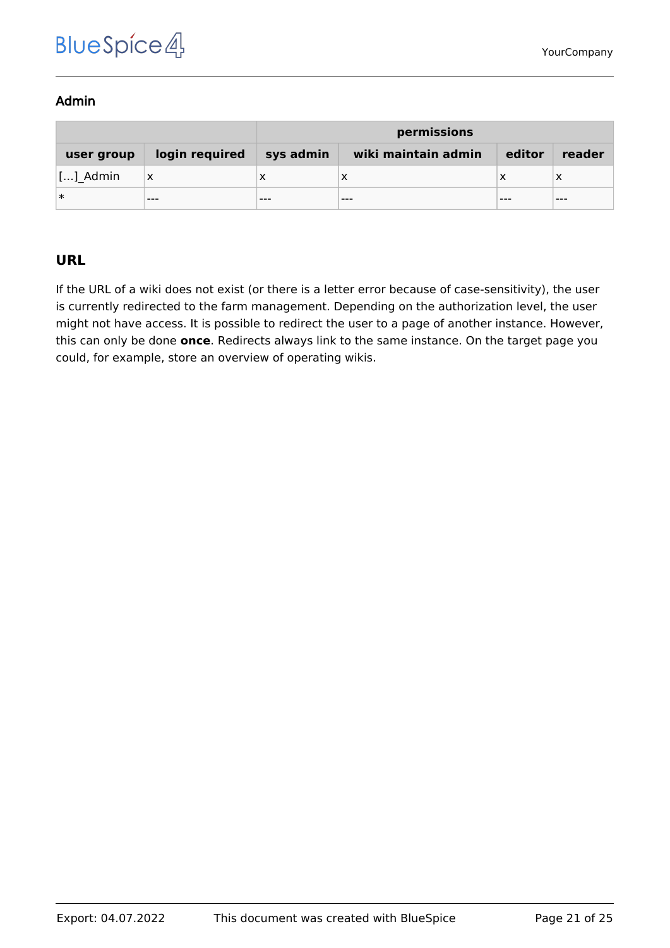#### <span id="page-20-0"></span>Admin

|            |                | permissions |                     |        |         |
|------------|----------------|-------------|---------------------|--------|---------|
| user group | login required | sys admin   | wiki maintain admin | editor | reader  |
| []_Admin   | х              |             |                     |        |         |
| ∣∗         | $- - -$        | $- - -$     | $- - -$             | ---    | $- - -$ |

## <span id="page-20-1"></span>**URL**

If the URL of a wiki does not exist (or there is a letter error because of case-sensitivity), the user is currently redirected to the farm management. Depending on the authorization level, the user might not have access. It is possible to redirect the user to a page of another instance. However, this can only be done **once**. Redirects always link to the same instance. On the target page you could, for example, store an overview of operating wikis.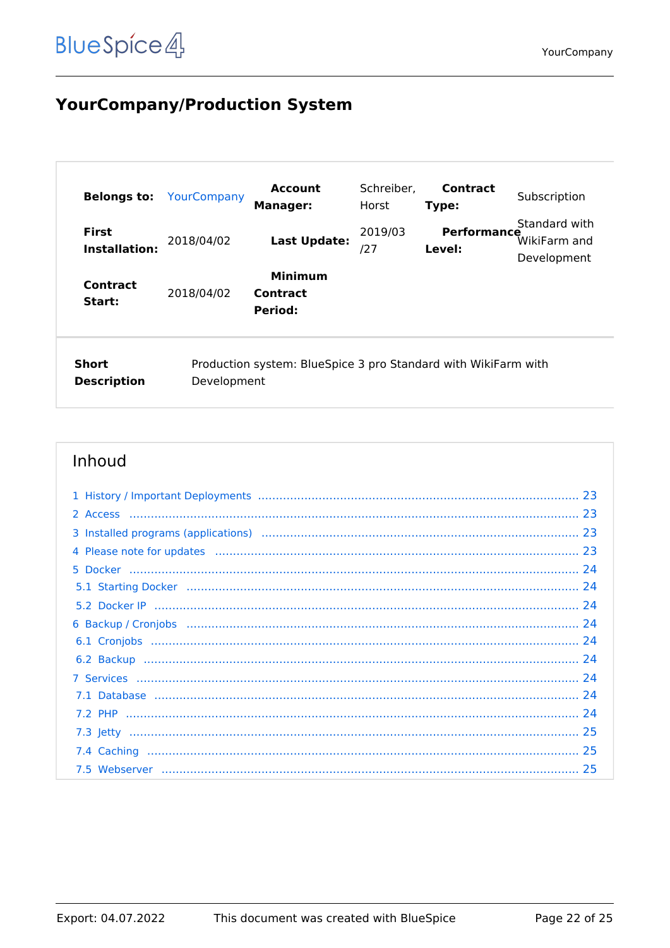## <span id="page-21-0"></span>**YourCompany/Production System**

| <b>Belongs to:</b>                                                                                           | YourCompany | <b>Account</b><br><b>Manager:</b>     | Schreiber,<br>Horst | <b>Contract</b><br>Type:     | Subscription                                 |
|--------------------------------------------------------------------------------------------------------------|-------------|---------------------------------------|---------------------|------------------------------|----------------------------------------------|
| <b>First</b><br>Installation:                                                                                | 2018/04/02  | <b>Last Update:</b>                   | 2019/03<br>127      | <b>Performance</b><br>Level: | Standard with<br>WikiFarm and<br>Development |
| <b>Contract</b><br>Start:                                                                                    | 2018/04/02  | <b>Minimum</b><br>Contract<br>Period: |                     |                              |                                              |
| Short<br>Production system: BlueSpice 3 pro Standard with WikiFarm with<br><b>Description</b><br>Development |             |                                       |                     |                              |                                              |

| 4 Please note for updates manufactured and contact and produce and produce and produce and produce and produce and produce and produce and produce and produce and produce and produce and produce and produce and produce and |  |
|--------------------------------------------------------------------------------------------------------------------------------------------------------------------------------------------------------------------------------|--|
|                                                                                                                                                                                                                                |  |
|                                                                                                                                                                                                                                |  |
|                                                                                                                                                                                                                                |  |
|                                                                                                                                                                                                                                |  |
|                                                                                                                                                                                                                                |  |
|                                                                                                                                                                                                                                |  |
|                                                                                                                                                                                                                                |  |
|                                                                                                                                                                                                                                |  |
|                                                                                                                                                                                                                                |  |
|                                                                                                                                                                                                                                |  |
|                                                                                                                                                                                                                                |  |
|                                                                                                                                                                                                                                |  |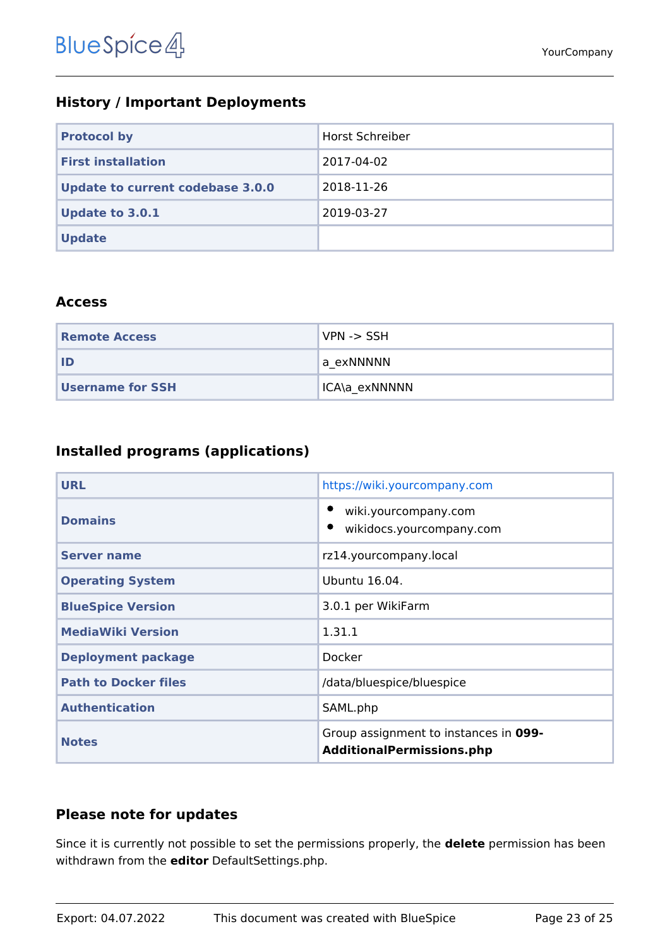## <span id="page-22-0"></span>**History / Important Deployments**

| <b>Protocol by</b>                      | Horst Schreiber |
|-----------------------------------------|-----------------|
| <b>First installation</b>               | 2017-04-02      |
| <b>Update to current codebase 3.0.0</b> | 2018-11-26      |
| <b>Update to 3.0.1</b>                  | 2019-03-27      |
| <b>Update</b>                           |                 |

#### <span id="page-22-1"></span>**Access**

| <b>Remote Access</b>    | VPN -> SSH    |
|-------------------------|---------------|
| ID                      | 'a exNNNNN    |
| <b>Username for SSH</b> | ICA\a exNNNNN |

## <span id="page-22-2"></span>**Installed programs (applications)**

| <b>URL</b>                  | https://wiki.yourcompany.com                                              |  |
|-----------------------------|---------------------------------------------------------------------------|--|
| <b>Domains</b>              | wiki.yourcompany.com<br>wikidocs.yourcompany.com                          |  |
| <b>Server name</b>          | rz14.yourcompany.local                                                    |  |
| <b>Operating System</b>     | Ubuntu 16.04.                                                             |  |
| <b>BlueSpice Version</b>    | 3.0.1 per WikiFarm                                                        |  |
| <b>MediaWiki Version</b>    | 1.31.1                                                                    |  |
| <b>Deployment package</b>   | Docker                                                                    |  |
| <b>Path to Docker files</b> | /data/bluespice/bluespice                                                 |  |
| <b>Authentication</b>       | SAML.php                                                                  |  |
| <b>Notes</b>                | Group assignment to instances in 099-<br><b>AdditionalPermissions.php</b> |  |

### <span id="page-22-3"></span>**Please note for updates**

Since it is currently not possible to set the permissions properly, the **delete** permission has been withdrawn from the **editor** DefaultSettings.php.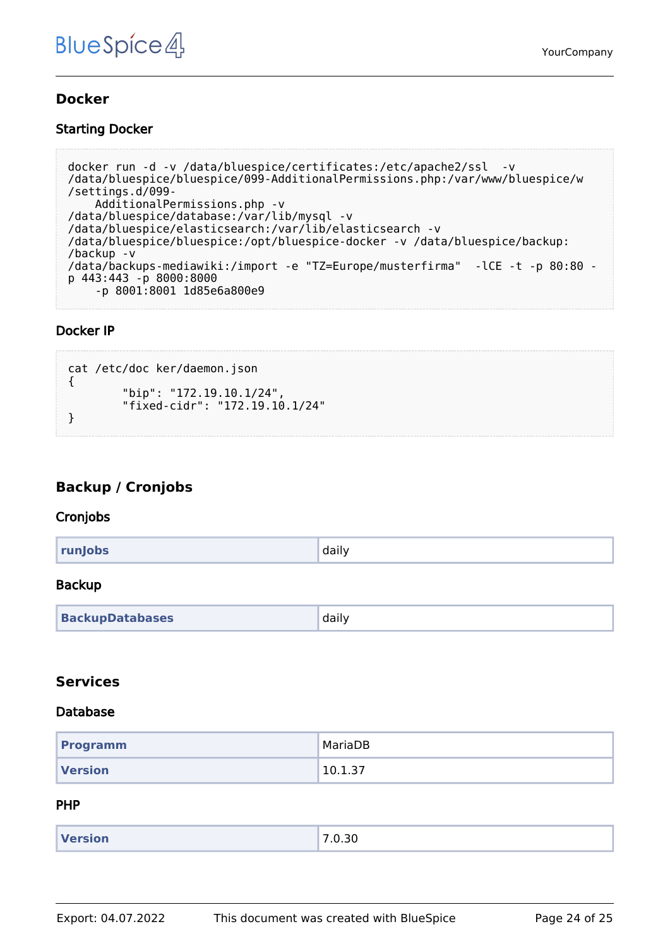#### <span id="page-23-0"></span>**Docker**

#### <span id="page-23-1"></span>Starting Docker

```
docker run -d -v /data/bluespice/certificates:/etc/apache2/ssl -v 
/data/bluespice/bluespice/099-AdditionalPermissions.php:/var/www/bluespice/w
/settings.d/099-
     AdditionalPermissions.php -v 
/data/bluespice/database:/var/lib/mysql -v 
/data/bluespice/elasticsearch:/var/lib/elasticsearch -v 
/data/bluespice/bluespice:/opt/bluespice-docker -v /data/bluespice/backup:
/backup -v 
/data/backups-mediawiki:/import -e "TZ=Europe/musterfirma" -lCE -t -p 80:80 -
p 443:443 -p 8000:8000 
     -p 8001:8001 1d85e6a800e9
```
#### <span id="page-23-2"></span>Docker IP

```
cat /etc/doc ker/daemon.json
{
 "bip": "172.19.10.1/24",
 "fixed-cidr": "172.19.10.1/24"
}
```
### <span id="page-23-3"></span>**Backup / Cronjobs**

#### <span id="page-23-4"></span>**Cronjobs**

| runJobs | daily |
|---------|-------|
|         |       |

#### <span id="page-23-5"></span>Backup

| <b>BackupDatabases</b> | daily |
|------------------------|-------|
|------------------------|-------|

#### <span id="page-23-6"></span>**Services**

#### <span id="page-23-7"></span>Database

| <b>Programm</b> | MariaDB |
|-----------------|---------|
| <b>Version</b>  | 10.1.37 |

#### <span id="page-23-8"></span>PHP

| <b>Version</b> | 0.30<br>$\overline{\phantom{a}}$<br>- 11<br>. |
|----------------|-----------------------------------------------|
|                |                                               |